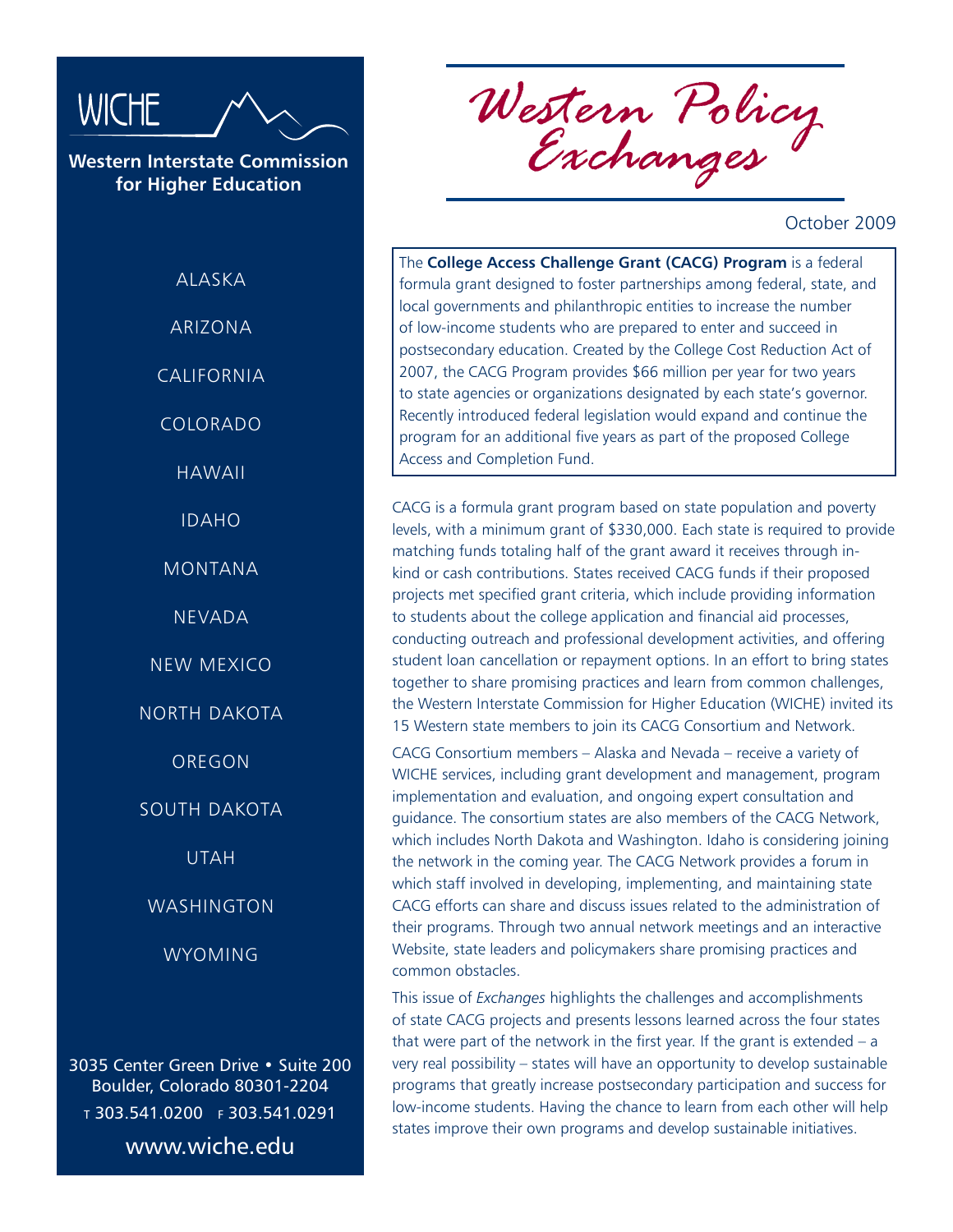

**Western Interstate Commission for Higher Education**

> **ALASKA** ARIZONA CALIFORNIA COLORADO HAWAII IDAHO MONTANA NEVADA NEW MEXICO NORTH DAKOTA OREGON SOUTH DAKOTA UTAH WASHINGTON WYOMING

3035 Center Green Drive • Suite 200 Boulder, Colorado 80301-2204 <sup>t</sup> 303.541.0200 f 303.541.0291 www.wiche.edu

*Western Policy Exchanges*

October 2009

The **College Access Challenge Grant (CACG) Program** is a federal formula grant designed to foster partnerships among federal, state, and local governments and philanthropic entities to increase the number of low-income students who are prepared to enter and succeed in postsecondary education. Created by the College Cost Reduction Act of 2007, the CACG Program provides \$66 million per year for two years to state agencies or organizations designated by each state's governor. Recently introduced federal legislation would expand and continue the program for an additional five years as part of the proposed College Access and Completion Fund.

CACG is a formula grant program based on state population and poverty levels, with a minimum grant of \$330,000. Each state is required to provide matching funds totaling half of the grant award it receives through inkind or cash contributions. States received CACG funds if their proposed projects met specified grant criteria, which include providing information to students about the college application and financial aid processes, conducting outreach and professional development activities, and offering student loan cancellation or repayment options. In an effort to bring states together to share promising practices and learn from common challenges, the Western Interstate Commission for Higher Education (WICHE) invited its 15 Western state members to join its CACG Consortium and Network.

CACG Consortium members – Alaska and Nevada – receive a variety of WICHE services, including grant development and management, program implementation and evaluation, and ongoing expert consultation and guidance. The consortium states are also members of the CACG Network, which includes North Dakota and Washington. Idaho is considering joining the network in the coming year. The CACG Network provides a forum in which staff involved in developing, implementing, and maintaining state CACG efforts can share and discuss issues related to the administration of their programs. Through two annual network meetings and an interactive Website, state leaders and policymakers share promising practices and common obstacles.

This issue of *Exchanges* highlights the challenges and accomplishments of state CACG projects and presents lessons learned across the four states that were part of the network in the first year. If the grant is extended – a very real possibility – states will have an opportunity to develop sustainable programs that greatly increase postsecondary participation and success for low-income students. Having the chance to learn from each other will help states improve their own programs and develop sustainable initiatives.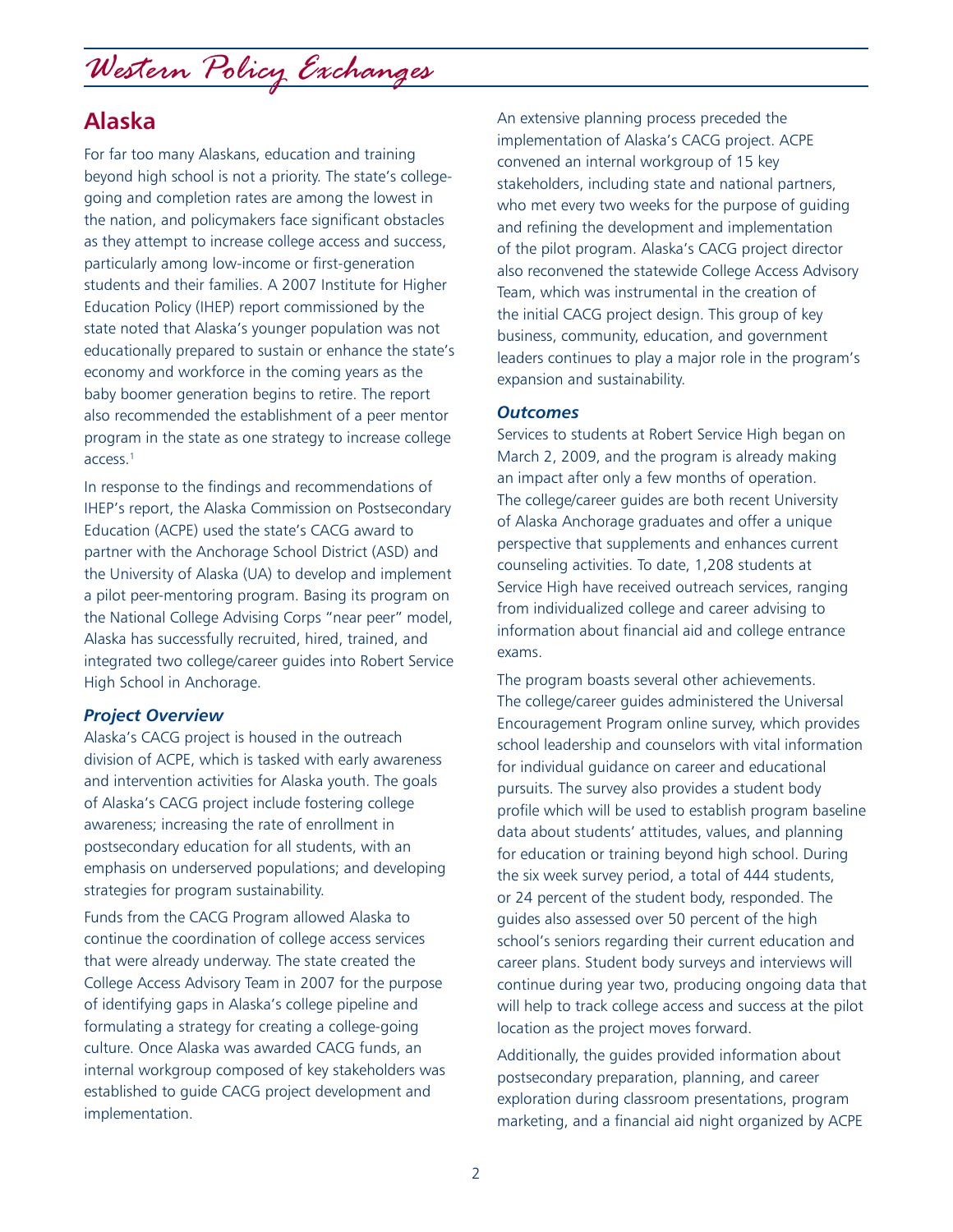## **Alaska**

For far too many Alaskans, education and training beyond high school is not a priority. The state's collegegoing and completion rates are among the lowest in the nation, and policymakers face significant obstacles as they attempt to increase college access and success, particularly among low-income or first-generation students and their families. A 2007 Institute for Higher Education Policy (IHEP) report commissioned by the state noted that Alaska's younger population was not educationally prepared to sustain or enhance the state's economy and workforce in the coming years as the baby boomer generation begins to retire. The report also recommended the establishment of a peer mentor program in the state as one strategy to increase college access. $1$ 

In response to the findings and recommendations of IHEP's report, the Alaska Commission on Postsecondary Education (ACPE) used the state's CACG award to partner with the Anchorage School District (ASD) and the University of Alaska (UA) to develop and implement a pilot peer-mentoring program. Basing its program on the National College Advising Corps "near peer" model, Alaska has successfully recruited, hired, trained, and integrated two college/career guides into Robert Service High School in Anchorage.

#### *Project Overview*

Alaska's CACG project is housed in the outreach division of ACPE, which is tasked with early awareness and intervention activities for Alaska youth. The goals of Alaska's CACG project include fostering college awareness; increasing the rate of enrollment in postsecondary education for all students, with an emphasis on underserved populations; and developing strategies for program sustainability.

Funds from the CACG Program allowed Alaska to continue the coordination of college access services that were already underway. The state created the College Access Advisory Team in 2007 for the purpose of identifying gaps in Alaska's college pipeline and formulating a strategy for creating a college-going culture. Once Alaska was awarded CACG funds, an internal workgroup composed of key stakeholders was established to guide CACG project development and implementation.

An extensive planning process preceded the implementation of Alaska's CACG project. ACPE convened an internal workgroup of 15 key stakeholders, including state and national partners, who met every two weeks for the purpose of guiding and refining the development and implementation of the pilot program. Alaska's CACG project director also reconvened the statewide College Access Advisory Team, which was instrumental in the creation of the initial CACG project design. This group of key business, community, education, and government leaders continues to play a major role in the program's expansion and sustainability.

#### *Outcomes*

Services to students at Robert Service High began on March 2, 2009, and the program is already making an impact after only a few months of operation. The college/career guides are both recent University of Alaska Anchorage graduates and offer a unique perspective that supplements and enhances current counseling activities. To date, 1,208 students at Service High have received outreach services, ranging from individualized college and career advising to information about financial aid and college entrance exams.

The program boasts several other achievements. The college/career guides administered the Universal Encouragement Program online survey, which provides school leadership and counselors with vital information for individual guidance on career and educational pursuits. The survey also provides a student body profile which will be used to establish program baseline data about students' attitudes, values, and planning for education or training beyond high school. During the six week survey period, a total of 444 students, or 24 percent of the student body, responded. The guides also assessed over 50 percent of the high school's seniors regarding their current education and career plans. Student body surveys and interviews will continue during year two, producing ongoing data that will help to track college access and success at the pilot location as the project moves forward.

Additionally, the guides provided information about postsecondary preparation, planning, and career exploration during classroom presentations, program marketing, and a financial aid night organized by ACPE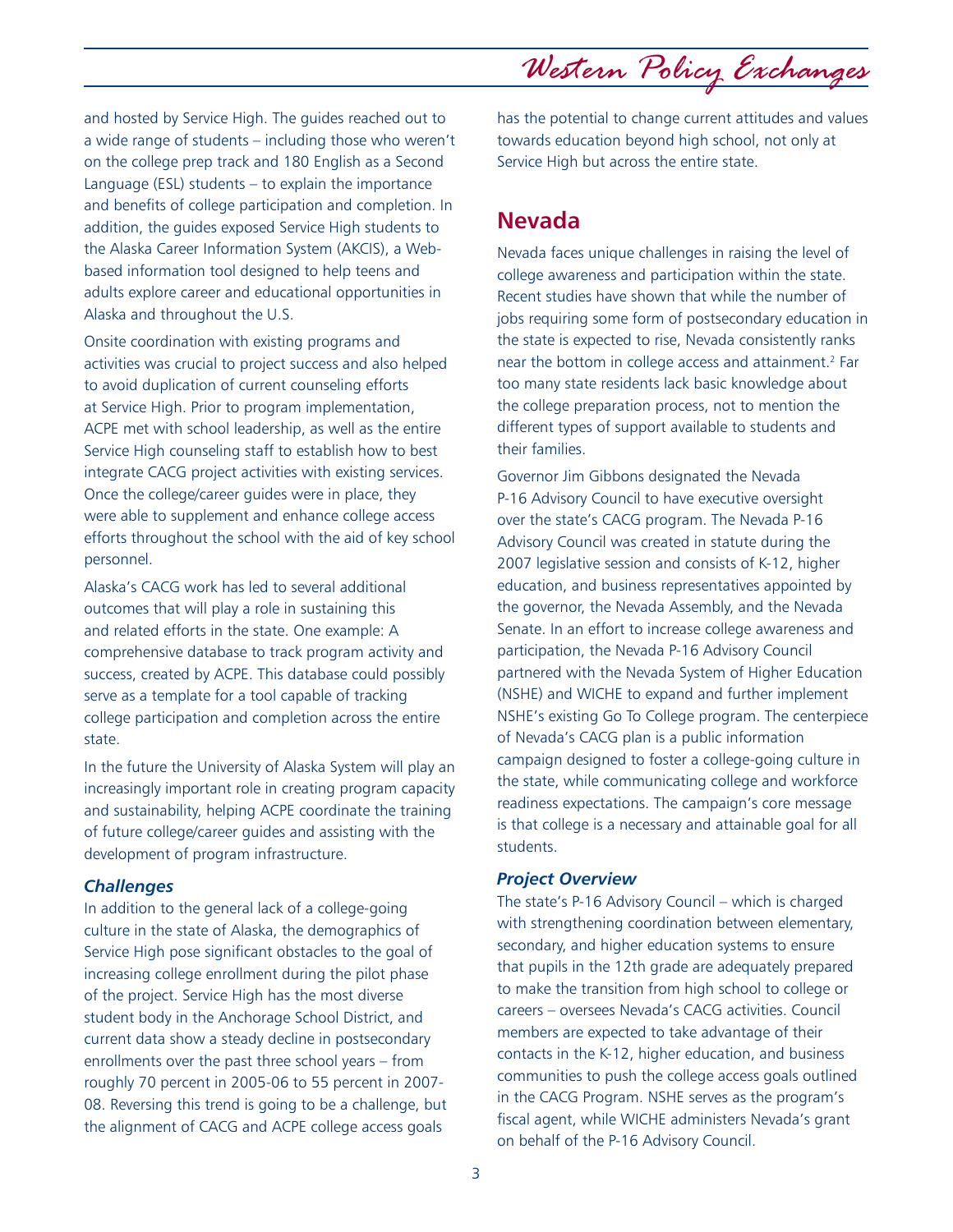3

and hosted by Service High. The guides reached out to a wide range of students – including those who weren't on the college prep track and 180 English as a Second Language (ESL) students – to explain the importance and benefits of college participation and completion. In addition, the guides exposed Service High students to the Alaska Career Information System (AKCIS), a Webbased information tool designed to help teens and adults explore career and educational opportunities in Alaska and throughout the U.S.

Onsite coordination with existing programs and activities was crucial to project success and also helped to avoid duplication of current counseling efforts at Service High. Prior to program implementation, ACPE met with school leadership, as well as the entire Service High counseling staff to establish how to best integrate CACG project activities with existing services. Once the college/career guides were in place, they were able to supplement and enhance college access efforts throughout the school with the aid of key school personnel.

Alaska's CACG work has led to several additional outcomes that will play a role in sustaining this and related efforts in the state. One example: A comprehensive database to track program activity and success, created by ACPE. This database could possibly serve as a template for a tool capable of tracking college participation and completion across the entire state.

In the future the University of Alaska System will play an increasingly important role in creating program capacity and sustainability, helping ACPE coordinate the training of future college/career guides and assisting with the development of program infrastructure.

#### *Challenges*

In addition to the general lack of a college-going culture in the state of Alaska, the demographics of Service High pose significant obstacles to the goal of increasing college enrollment during the pilot phase of the project. Service High has the most diverse student body in the Anchorage School District, and current data show a steady decline in postsecondary enrollments over the past three school years – from roughly 70 percent in 2005-06 to 55 percent in 2007- 08. Reversing this trend is going to be a challenge, but the alignment of CACG and ACPE college access goals

has the potential to change current attitudes and values towards education beyond high school, not only at Service High but across the entire state.

### **Nevada**

Nevada faces unique challenges in raising the level of college awareness and participation within the state. Recent studies have shown that while the number of jobs requiring some form of postsecondary education in the state is expected to rise, Nevada consistently ranks near the bottom in college access and attainment.<sup>2</sup> Far too many state residents lack basic knowledge about the college preparation process, not to mention the different types of support available to students and their families.

Governor Jim Gibbons designated the Nevada P-16 Advisory Council to have executive oversight over the state's CACG program. The Nevada P-16 Advisory Council was created in statute during the 2007 legislative session and consists of K-12, higher education, and business representatives appointed by the governor, the Nevada Assembly, and the Nevada Senate. In an effort to increase college awareness and participation, the Nevada P-16 Advisory Council partnered with the Nevada System of Higher Education (NSHE) and WICHE to expand and further implement NSHE's existing Go To College program. The centerpiece of Nevada's CACG plan is a public information campaign designed to foster a college-going culture in the state, while communicating college and workforce readiness expectations. The campaign's core message is that college is a necessary and attainable goal for all students.

#### *Project Overview*

The state's P-16 Advisory Council – which is charged with strengthening coordination between elementary, secondary, and higher education systems to ensure that pupils in the 12th grade are adequately prepared to make the transition from high school to college or careers – oversees Nevada's CACG activities. Council members are expected to take advantage of their contacts in the K-12, higher education, and business communities to push the college access goals outlined in the CACG Program. NSHE serves as the program's fiscal agent, while WICHE administers Nevada's grant on behalf of the P-16 Advisory Council.

*Western Policy Exchanges*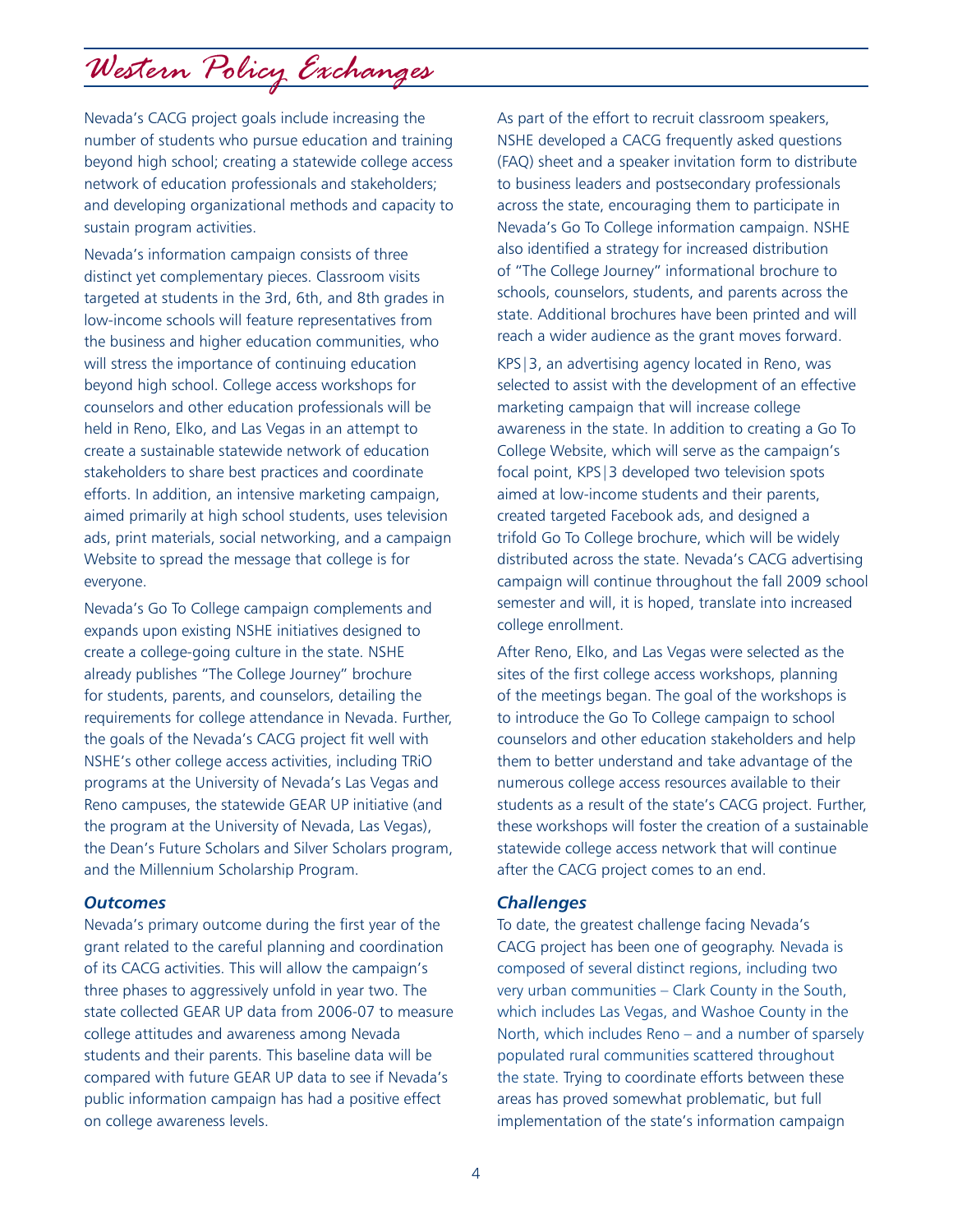Nevada's CACG project goals include increasing the number of students who pursue education and training beyond high school; creating a statewide college access network of education professionals and stakeholders; and developing organizational methods and capacity to sustain program activities.

Nevada's information campaign consists of three distinct yet complementary pieces. Classroom visits targeted at students in the 3rd, 6th, and 8th grades in low-income schools will feature representatives from the business and higher education communities, who will stress the importance of continuing education beyond high school. College access workshops for counselors and other education professionals will be held in Reno, Elko, and Las Vegas in an attempt to create a sustainable statewide network of education stakeholders to share best practices and coordinate efforts. In addition, an intensive marketing campaign, aimed primarily at high school students, uses television ads, print materials, social networking, and a campaign Website to spread the message that college is for everyone.

Nevada's Go To College campaign complements and expands upon existing NSHE initiatives designed to create a college-going culture in the state. NSHE already publishes "The College Journey" brochure for students, parents, and counselors, detailing the requirements for college attendance in Nevada. Further, the goals of the Nevada's CACG project fit well with NSHE's other college access activities, including TRiO programs at the University of Nevada's Las Vegas and Reno campuses, the statewide GEAR UP initiative (and the program at the University of Nevada, Las Vegas), the Dean's Future Scholars and Silver Scholars program, and the Millennium Scholarship Program.

#### *Outcomes*

Nevada's primary outcome during the first year of the grant related to the careful planning and coordination of its CACG activities. This will allow the campaign's three phases to aggressively unfold in year two. The state collected GEAR UP data from 2006-07 to measure college attitudes and awareness among Nevada students and their parents. This baseline data will be compared with future GEAR UP data to see if Nevada's public information campaign has had a positive effect on college awareness levels.

As part of the effort to recruit classroom speakers, NSHE developed a CACG frequently asked questions (FAQ) sheet and a speaker invitation form to distribute to business leaders and postsecondary professionals across the state, encouraging them to participate in Nevada's Go To College information campaign. NSHE also identified a strategy for increased distribution of "The College Journey" informational brochure to schools, counselors, students, and parents across the state. Additional brochures have been printed and will reach a wider audience as the grant moves forward.

KPS|3, an advertising agency located in Reno, was selected to assist with the development of an effective marketing campaign that will increase college awareness in the state. In addition to creating a Go To College Website, which will serve as the campaign's focal point, KPS|3 developed two television spots aimed at low-income students and their parents, created targeted Facebook ads, and designed a trifold Go To College brochure, which will be widely distributed across the state. Nevada's CACG advertising campaign will continue throughout the fall 2009 school semester and will, it is hoped, translate into increased college enrollment.

After Reno, Elko, and Las Vegas were selected as the sites of the first college access workshops, planning of the meetings began. The goal of the workshops is to introduce the Go To College campaign to school counselors and other education stakeholders and help them to better understand and take advantage of the numerous college access resources available to their students as a result of the state's CACG project. Further, these workshops will foster the creation of a sustainable statewide college access network that will continue after the CACG project comes to an end.

#### *Challenges*

To date, the greatest challenge facing Nevada's CACG project has been one of geography. Nevada is composed of several distinct regions, including two very urban communities – Clark County in the South, which includes Las Vegas, and Washoe County in the North, which includes Reno – and a number of sparsely populated rural communities scattered throughout the state. Trying to coordinate efforts between these areas has proved somewhat problematic, but full implementation of the state's information campaign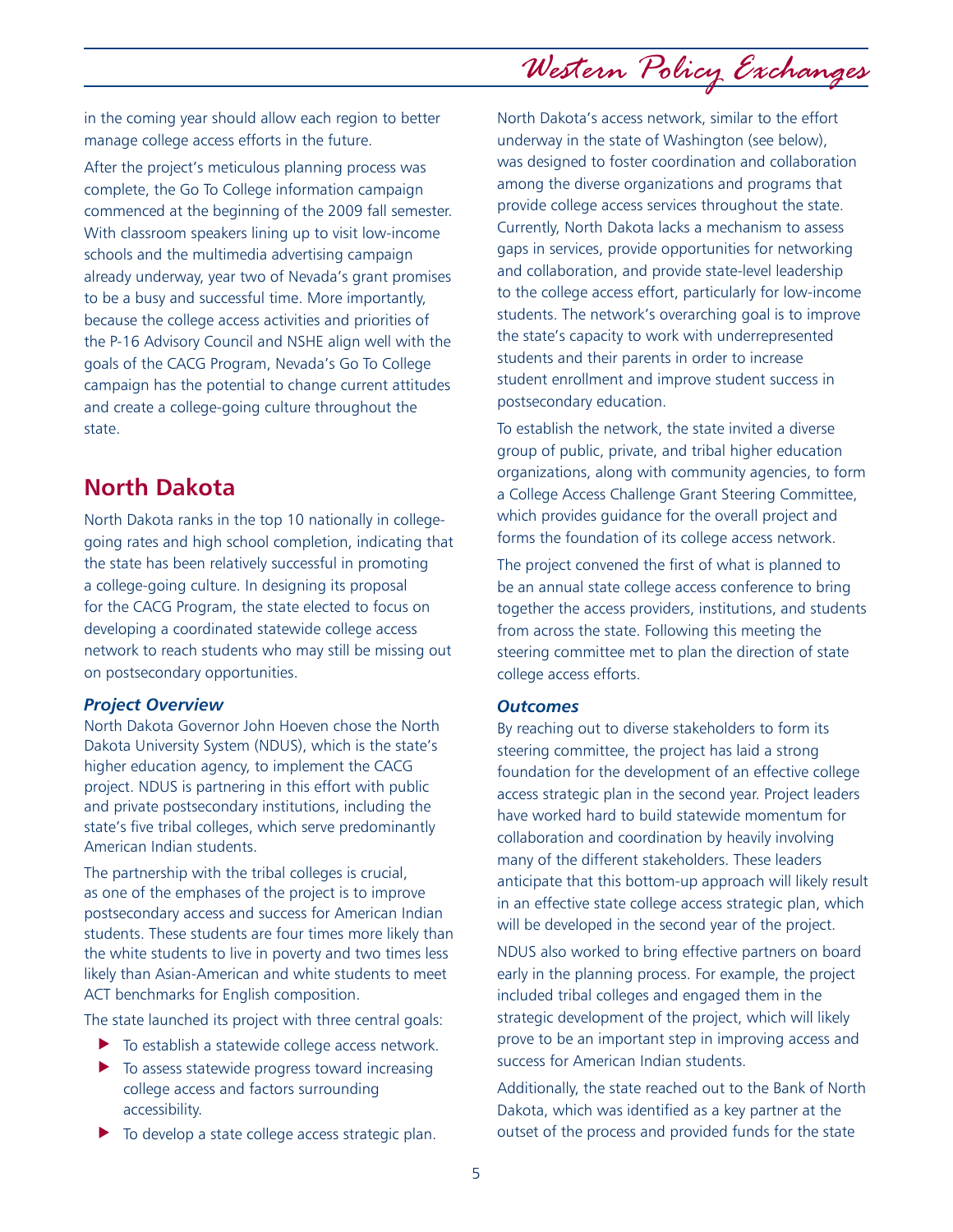in the coming year should allow each region to better manage college access efforts in the future.

After the project's meticulous planning process was complete, the Go To College information campaign commenced at the beginning of the 2009 fall semester. With classroom speakers lining up to visit low-income schools and the multimedia advertising campaign already underway, year two of Nevada's grant promises to be a busy and successful time. More importantly, because the college access activities and priorities of the P-16 Advisory Council and NSHE align well with the goals of the CACG Program, Nevada's Go To College campaign has the potential to change current attitudes and create a college-going culture throughout the state.

### **North Dakota**

North Dakota ranks in the top 10 nationally in collegegoing rates and high school completion, indicating that the state has been relatively successful in promoting a college-going culture. In designing its proposal for the CACG Program, the state elected to focus on developing a coordinated statewide college access network to reach students who may still be missing out on postsecondary opportunities.

#### *Project Overview*

North Dakota Governor John Hoeven chose the North Dakota University System (NDUS), which is the state's higher education agency, to implement the CACG project. NDUS is partnering in this effort with public and private postsecondary institutions, including the state's five tribal colleges, which serve predominantly American Indian students.

The partnership with the tribal colleges is crucial, as one of the emphases of the project is to improve postsecondary access and success for American Indian students. These students are four times more likely than the white students to live in poverty and two times less likely than Asian-American and white students to meet ACT benchmarks for English composition.

The state launched its project with three central goals:

- $\blacktriangleright$  To establish a statewide college access network.
- $\blacktriangleright$  To assess statewide progress toward increasing college access and factors surrounding accessibility.
- $\blacktriangleright$  To develop a state college access strategic plan.

North Dakota's access network, similar to the effort underway in the state of Washington (see below), was designed to foster coordination and collaboration among the diverse organizations and programs that provide college access services throughout the state. Currently, North Dakota lacks a mechanism to assess gaps in services, provide opportunities for networking and collaboration, and provide state-level leadership to the college access effort, particularly for low-income students. The network's overarching goal is to improve the state's capacity to work with underrepresented students and their parents in order to increase student enrollment and improve student success in postsecondary education.

To establish the network, the state invited a diverse group of public, private, and tribal higher education organizations, along with community agencies, to form a College Access Challenge Grant Steering Committee, which provides guidance for the overall project and forms the foundation of its college access network.

The project convened the first of what is planned to be an annual state college access conference to bring together the access providers, institutions, and students from across the state. Following this meeting the steering committee met to plan the direction of state college access efforts.

#### *Outcomes*

By reaching out to diverse stakeholders to form its steering committee, the project has laid a strong foundation for the development of an effective college access strategic plan in the second year. Project leaders have worked hard to build statewide momentum for collaboration and coordination by heavily involving many of the different stakeholders. These leaders anticipate that this bottom-up approach will likely result in an effective state college access strategic plan, which will be developed in the second year of the project.

NDUS also worked to bring effective partners on board early in the planning process. For example, the project included tribal colleges and engaged them in the strategic development of the project, which will likely prove to be an important step in improving access and success for American Indian students.

Additionally, the state reached out to the Bank of North Dakota, which was identified as a key partner at the outset of the process and provided funds for the state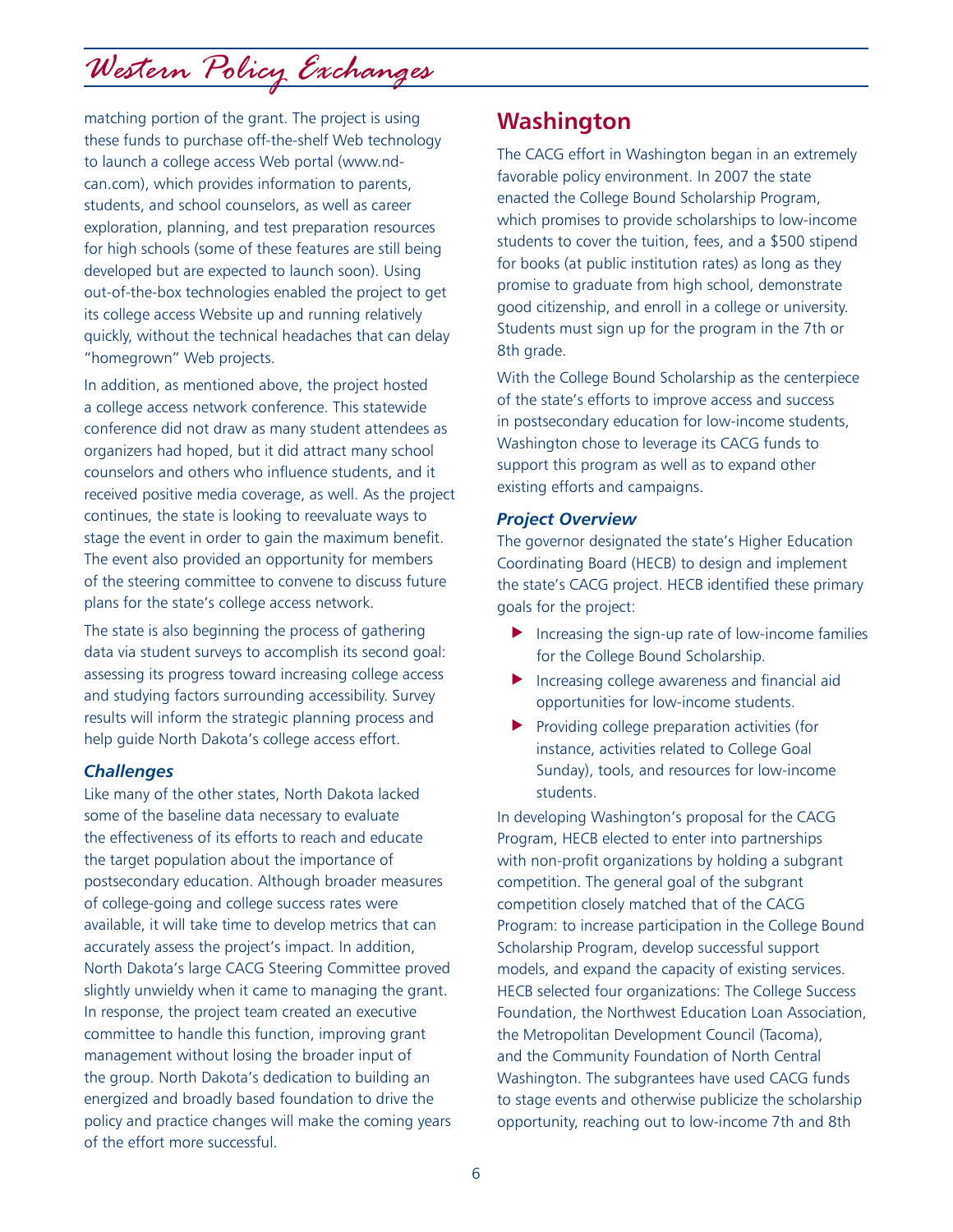matching portion of the grant. The project is using these funds to purchase off-the-shelf Web technology to launch a college access Web portal (www.ndcan.com), which provides information to parents, students, and school counselors, as well as career exploration, planning, and test preparation resources for high schools (some of these features are still being developed but are expected to launch soon). Using out-of-the-box technologies enabled the project to get its college access Website up and running relatively quickly, without the technical headaches that can delay "homegrown" Web projects.

In addition, as mentioned above, the project hosted a college access network conference. This statewide conference did not draw as many student attendees as organizers had hoped, but it did attract many school counselors and others who influence students, and it received positive media coverage, as well. As the project continues, the state is looking to reevaluate ways to stage the event in order to gain the maximum benefit. The event also provided an opportunity for members of the steering committee to convene to discuss future plans for the state's college access network.

The state is also beginning the process of gathering data via student surveys to accomplish its second goal: assessing its progress toward increasing college access and studying factors surrounding accessibility. Survey results will inform the strategic planning process and help guide North Dakota's college access effort.

#### *Challenges*

Like many of the other states, North Dakota lacked some of the baseline data necessary to evaluate the effectiveness of its efforts to reach and educate the target population about the importance of postsecondary education. Although broader measures of college-going and college success rates were available, it will take time to develop metrics that can accurately assess the project's impact. In addition, North Dakota's large CACG Steering Committee proved slightly unwieldy when it came to managing the grant. In response, the project team created an executive committee to handle this function, improving grant management without losing the broader input of the group. North Dakota's dedication to building an energized and broadly based foundation to drive the policy and practice changes will make the coming years of the effort more successful.

## **Washington**

The CACG effort in Washington began in an extremely favorable policy environment. In 2007 the state enacted the College Bound Scholarship Program, which promises to provide scholarships to low-income students to cover the tuition, fees, and a \$500 stipend for books (at public institution rates) as long as they promise to graduate from high school, demonstrate good citizenship, and enroll in a college or university. Students must sign up for the program in the 7th or 8th grade.

With the College Bound Scholarship as the centerpiece of the state's efforts to improve access and success in postsecondary education for low-income students, Washington chose to leverage its CACG funds to support this program as well as to expand other existing efforts and campaigns.

#### *Project Overview*

The governor designated the state's Higher Education Coordinating Board (HECB) to design and implement the state's CACG project. HECB identified these primary goals for the project:

- $\blacktriangleright$  Increasing the sign-up rate of low-income families for the College Bound Scholarship.
- $\blacktriangleright$  Increasing college awareness and financial aid opportunities for low-income students.
- $\blacktriangleright$  Providing college preparation activities (for instance, activities related to College Goal Sunday), tools, and resources for low-income students.

In developing Washington's proposal for the CACG Program, HECB elected to enter into partnerships with non-profit organizations by holding a subgrant competition. The general goal of the subgrant competition closely matched that of the CACG Program: to increase participation in the College Bound Scholarship Program, develop successful support models, and expand the capacity of existing services. HECB selected four organizations: The College Success Foundation, the Northwest Education Loan Association, the Metropolitan Development Council (Tacoma), and the Community Foundation of North Central Washington. The subgrantees have used CACG funds to stage events and otherwise publicize the scholarship opportunity, reaching out to low-income 7th and 8th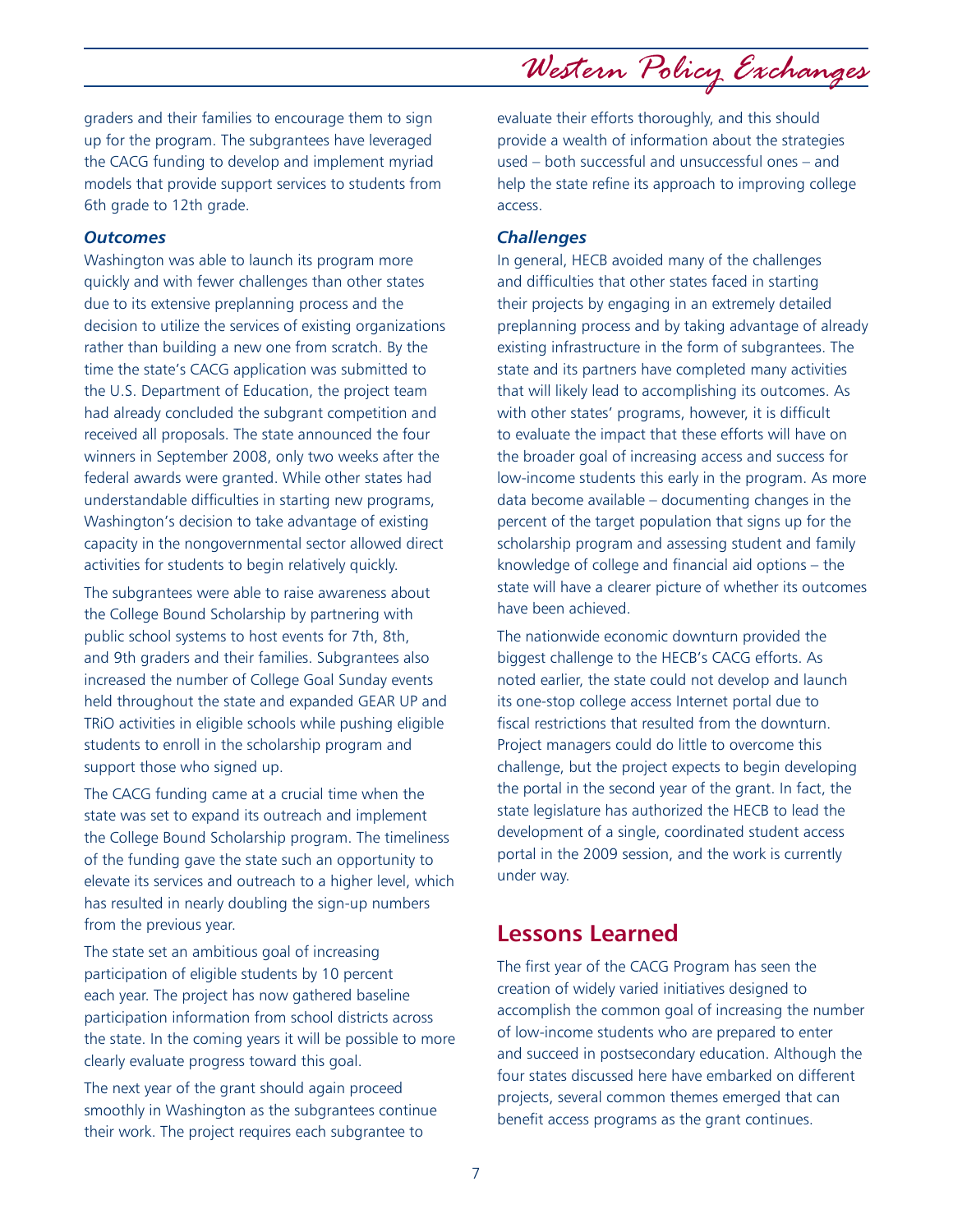graders and their families to encourage them to sign up for the program. The subgrantees have leveraged the CACG funding to develop and implement myriad models that provide support services to students from 6th grade to 12th grade.

#### *Outcomes*

Washington was able to launch its program more quickly and with fewer challenges than other states due to its extensive preplanning process and the decision to utilize the services of existing organizations rather than building a new one from scratch. By the time the state's CACG application was submitted to the U.S. Department of Education, the project team had already concluded the subgrant competition and received all proposals. The state announced the four winners in September 2008, only two weeks after the federal awards were granted. While other states had understandable difficulties in starting new programs, Washington's decision to take advantage of existing capacity in the nongovernmental sector allowed direct activities for students to begin relatively quickly.

The subgrantees were able to raise awareness about the College Bound Scholarship by partnering with public school systems to host events for 7th, 8th, and 9th graders and their families. Subgrantees also increased the number of College Goal Sunday events held throughout the state and expanded GEAR UP and TRiO activities in eligible schools while pushing eligible students to enroll in the scholarship program and support those who signed up.

The CACG funding came at a crucial time when the state was set to expand its outreach and implement the College Bound Scholarship program. The timeliness of the funding gave the state such an opportunity to elevate its services and outreach to a higher level, which has resulted in nearly doubling the sign-up numbers from the previous year.

The state set an ambitious goal of increasing participation of eligible students by 10 percent each year. The project has now gathered baseline participation information from school districts across the state. In the coming years it will be possible to more clearly evaluate progress toward this goal.

The next year of the grant should again proceed smoothly in Washington as the subgrantees continue their work. The project requires each subgrantee to

*Western Policy Exchanges*

evaluate their efforts thoroughly, and this should provide a wealth of information about the strategies used – both successful and unsuccessful ones – and help the state refine its approach to improving college access.

#### *Challenges*

In general, HECB avoided many of the challenges and difficulties that other states faced in starting their projects by engaging in an extremely detailed preplanning process and by taking advantage of already existing infrastructure in the form of subgrantees. The state and its partners have completed many activities that will likely lead to accomplishing its outcomes. As with other states' programs, however, it is difficult to evaluate the impact that these efforts will have on the broader goal of increasing access and success for low-income students this early in the program. As more data become available – documenting changes in the percent of the target population that signs up for the scholarship program and assessing student and family knowledge of college and financial aid options – the state will have a clearer picture of whether its outcomes have been achieved.

The nationwide economic downturn provided the biggest challenge to the HECB's CACG efforts. As noted earlier, the state could not develop and launch its one-stop college access Internet portal due to fiscal restrictions that resulted from the downturn. Project managers could do little to overcome this challenge, but the project expects to begin developing the portal in the second year of the grant. In fact, the state legislature has authorized the HECB to lead the development of a single, coordinated student access portal in the 2009 session, and the work is currently under way.

### **Lessons Learned**

The first year of the CACG Program has seen the creation of widely varied initiatives designed to accomplish the common goal of increasing the number of low-income students who are prepared to enter and succeed in postsecondary education. Although the four states discussed here have embarked on different projects, several common themes emerged that can benefit access programs as the grant continues.